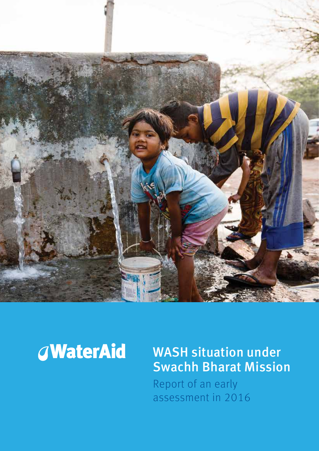

# **GWaterAid**

## WASH situation under Swachh Bharat Mission

Report of an early assessment in 2016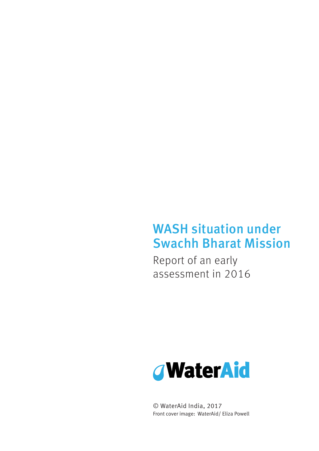## WASH situation under Swachh Bharat Mission

Report of an early assessment in 2016



© WaterAid India, 2017 Front cover image: WaterAid/ Eliza Powell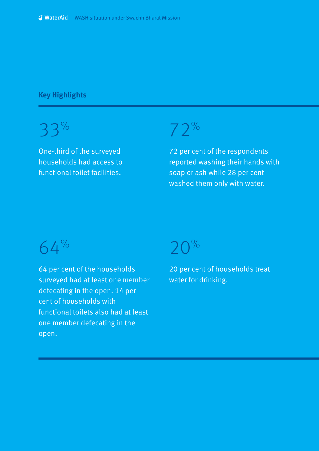### **Key Highlights**

One-third of the surveyed households had access to functional toilet facilities.



72 per cent of the respondents reported washing their hands with soap or ash while 28 per cent washed them only with water.

64 per cent of the households surveyed had at least one member defecating in the open. 14 per cent of households with functional toilets also had at least one member defecating in the open.



20 per cent of households treat water for drinking.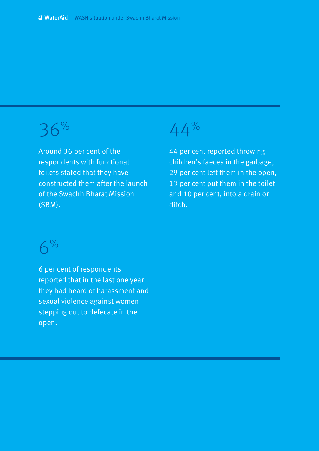Around 36 per cent of the respondents with functional toilets stated that they have constructed them after the launch of the Swachh Bharat Mission (SBM).

 $36\%$  44%

44 per cent reported throwing children's faeces in the garbage, 29 per cent left them in the open, 13 per cent put them in the toilet and 10 per cent, into a drain or ditch.



6 per cent of respondents reported that in the last one year they had heard of harassment and sexual violence against women stepping out to defecate in the open.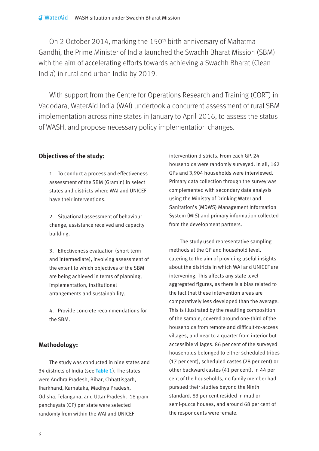On 2 October 2014, marking the 150<sup>th</sup> birth anniversary of Mahatma Gandhi, the Prime Minister of India launched the Swachh Bharat Mission (SBM) with the aim of accelerating efforts towards achieving a Swachh Bharat (Clean India) in rural and urban India by 2019.

With support from the Centre for Operations Research and Training (CORT) in Vadodara, WaterAid India (WAI) undertook a concurrent assessment of rural SBM implementation across nine states in January to April 2016, to assess the status of WASH, and propose necessary policy implementation changes.

#### **Objectives of the study:**

1. To conduct a process and effectiveness assessment of the SBM (Gramin) in select states and districts where WAI and UNICEF have their interventions.

2. Situational assessment of behaviour change, assistance received and capacity building.

3. Effectiveness evaluation (short-term and intermediate), involving assessment of the extent to which objectives of the SBM are being achieved in terms of planning, implementation, institutional arrangements and sustainability.

4. Provide concrete recommendations for the SBM.

#### **Methodology:**

The study was conducted in nine states and 34 districts of India (see **Table 1**). The states were Andhra Pradesh, Bihar, Chhattisgarh, Jharkhand, Karnataka, Madhya Pradesh, Odisha, Telangana, and Uttar Pradesh. 18 gram panchayats (GP) per state were selected randomly from within the WAI and UNICEF

intervention districts. From each GP, 24 households were randomly surveyed. In all, 162 GPs and 3,904 households were interviewed. Primary data collection through the survey was complemented with secondary data analysis using the Ministry of Drinking Water and Sanitation's (MDWS) Management Information System (MIS) and primary information collected from the development partners.

The study used representative sampling methods at the GP and household level, catering to the aim of providing useful insights about the districts in which WAI and UNICEF are intervening. This affects any state level aggregated figures, as there is a bias related to the fact that these intervention areas are comparatively less developed than the average. This is illustrated by the resulting composition of the sample, covered around one-third of the households from remote and difficult-to-access villages, and near to a quarter from interior but accessible villages. 86 per cent of the surveyed households belonged to either scheduled tribes (17 per cent), scheduled castes (28 per cent) or other backward castes (41 per cent). In 44 per cent of the households, no family member had pursued their studies beyond the Ninth standard. 83 per cent resided in mud or semi-pucca houses, and around 68 per cent of the respondents were female.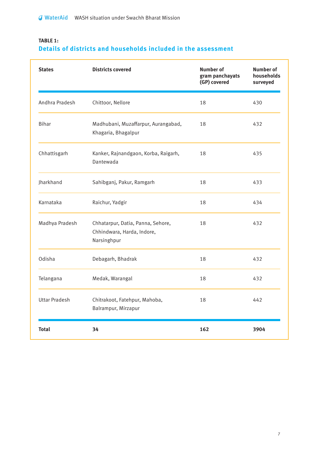#### **TABLE 1: Details of districts and households included in the assessment**

| <b>States</b>        | <b>Districts covered</b>                                                       | <b>Number of</b><br>gram panchayats<br>(GP) covered | <b>Number of</b><br>households<br>surveyed |
|----------------------|--------------------------------------------------------------------------------|-----------------------------------------------------|--------------------------------------------|
| Andhra Pradesh       | Chittoor, Nellore                                                              | 18                                                  | 430                                        |
| <b>Bihar</b>         | Madhubani, Muzaffarpur, Aurangabad,<br>Khagaria, Bhagalpur                     | 18                                                  | 432                                        |
| Chhattisgarh         | Kanker, Rajnandgaon, Korba, Raigarh,<br>Dantewada                              | 18                                                  | 435                                        |
| Jharkhand            | Sahibganj, Pakur, Ramgarh                                                      | 18                                                  | 433                                        |
| Karnataka            | Raichur, Yadgir                                                                | 18                                                  | 434                                        |
| Madhya Pradesh       | Chhatarpur, Datia, Panna, Sehore,<br>Chhindwara, Harda, Indore,<br>Narsinghpur | 18                                                  | 432                                        |
| Odisha               | Debagarh, Bhadrak                                                              | 18                                                  | 432                                        |
| Telangana            | Medak, Warangal                                                                | 18                                                  | 432                                        |
| <b>Uttar Pradesh</b> | Chitrakoot, Fatehpur, Mahoba,<br>Balrampur, Mirzapur                           | 18                                                  | 442                                        |
| <b>Total</b>         | 34                                                                             | 162                                                 | 3904                                       |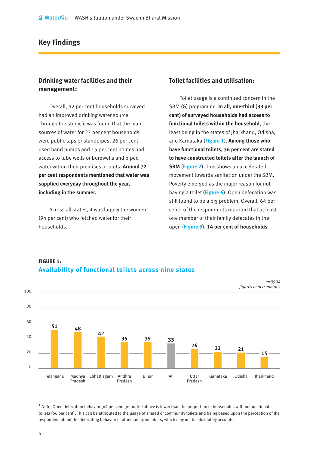#### **Key Findings**

#### **Drinking water facilities and their management:**

Overall, 92 per cent households surveyed had an improved drinking water source. Through the study, it was found that the main sources of water for 27 per cent households were public taps or standpipes, 26 per cent used hand pumps and 15 per cent homes had access to tube wells or borewells and piped water within their premises or plots. **Around 72 per cent respondents mentioned that water was supplied everyday throughout the year, including in the summer.**

Across all states, it was largely the women (94 per cent) who fetched water for their households.

#### **Toilet facilities and utilisation:**

Toilet usage is a continued concern in the SBM (G) programme. **In all, one-third (33 per cent) of surveyed households had access to functional toilets within the household**, the least being in the states of Jharkhand, Odisha, and Karnataka (**Figure 1**). **Among those who have functional toilets, 36 per cent are stated to have constructed toilets after the launch of SBM** (**Figure 2**). This shows an accelerated movement towards sanitation under the SBM. Poverty emerged as the major reason for not having a toilet (**Figure 6**). Open defecation was still found to be a big problem. Overall, 64 per cent<sup>1</sup> of the respondents reported that at least one member of their family defecates in the open (**Figure 3**). **14 per cent of households** 



#### **FIGURE 1: Availability of functional toilets across nine states**

 $1$  Note: Open defecation behavior (64 per cent) reported above is lower than the proportion of households without functional toilets (66 per cent). This can be attributed to the usage of shared or community toilets and being based upon the perception of the respondent about the defecating behavior of other family members, which may not be absolutely accurate.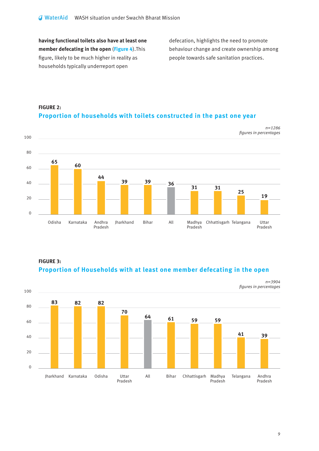**having functional toilets also have at least one member defecating in the open** (**Figure 4**).This figure, likely to be much higher in reality as households typically underreport open

defecation, highlights the need to promote behaviour change and create ownership among people towards safe sanitation practices.

#### 0 20 Odisha Karnataka Andhra Pradesh Jharkhand Bihar All Madhya Pradesh Chhattisgarh Telangana Uttar Pradesh **<sup>65</sup> <sup>60</sup> 44 <sup>39</sup> <sup>39</sup> <sup>36</sup> <sup>31</sup> <sup>31</sup> 25 19** 40 60 80 100 figures in percentages

#### **FIGURE 2: Proportion of households with toilets constructed in the past one year**

**FIGURE 3: Proportion of Households with at least one member defecating in the open**



*n=3904*

*n=1286*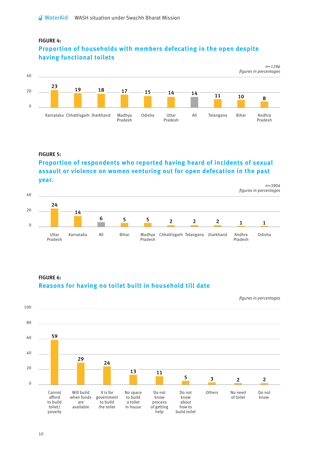### **FIGURE 4: Proportion of households with members defecating in the open despite having functional toilets**



#### **FIGURE 5:**

#### **Proportion of respondents who reported having heard of incidents of sexual assault or violence on women venturing out for open defecation in the past year.**





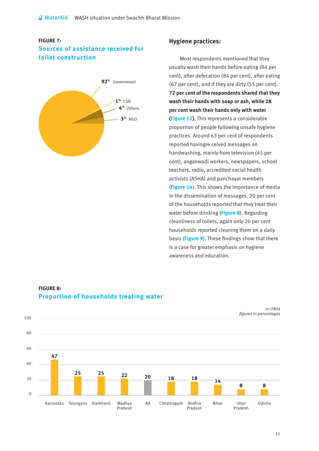#### **FIGURE 7: Sources of assistance received for toilet construction**



#### **Hygiene practices:**

Most respondents mentioned that they usually wash their hands before eating (84 per cent), after defecation (84 per cent), after eating (67 per cent), and if they are dirty (55 per cent). **72 per cent of the respondents shared that they wash their hands with soap or ash, while 28 per cent wash their hands only with water (Figure 12)**. This represents a considerable proportion of people following unsafe hygiene practices. Around 63 per cent of respondents reported havingre ceived messages on handwashing, mainly from television (45 per cent), anganwadi workers, newspapers, school teachers, radio, accredited social health activists (ASHA) and panchayat members (**Figure 14**). This shows the importance of media in the dissemination of messages. 20 per cent of the households reported that they treat their water before drinking (**Figure 8**). Regarding cleanliness of toilets, again only 20 per cent households reported cleaning them on a daily basis (**Figure 9**). These findings show that there is a case for greater emphasis on hygiene awareness and education.

#### 0 20 Karnataka Telangana Jharkhand Madhya Pradesh All Chhattisgarh Andhra Pradesh Bihar Uttar Pradesh Odisha **47 <sup>25</sup> <sup>25</sup> <sup>22</sup> <sup>20</sup> <sup>18</sup> <sup>18</sup> <sup>14</sup> 8 8** 40 60 80 100 *n=3904* figures in percentages

#### **FIGURE 8: Proportion of households treating water**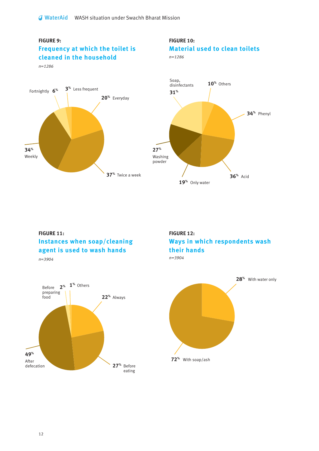

#### **FIGURE 11: Instances when soap/cleaning agent is used to wash hands**

*n=3904 n=3904*



## **FIGURE 12: Ways in which respondents wash their hands**

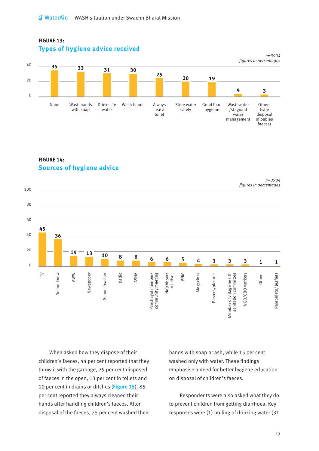

**FIGURE 14: Sources of hygiene advice** 



When asked how they dispose of their children's faeces, 44 per cent reported that they throw it with the garbage, 29 per cent disposed of faeces in the open, 13 per cent in toilets and 10 per cent in drains or ditches (**Figure 15**). 85 per cent reported they always cleaned their hands after handling children's faeces. After disposal of the faeces, 75 per cent washed their hands with soap or ash, while 15 per cent washed only with water. These findings emphasise a need for better hygiene education on disposal of children's faeces.

Respondents were also asked what they do to prevent children from getting diarrhoea. Key responses were (1) boiling of drinking water (31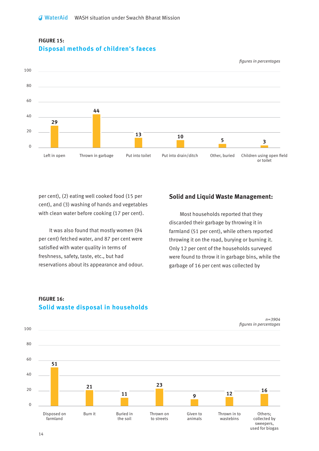

#### **FIGURE 15: Disposal methods of children's faeces**

per cent), (2) eating well cooked food (15 per cent), and (3) washing of hands and vegetables with clean water before cooking (17 per cent).

It was also found that mostly women (94 per cent) fetched water, and 87 per cent were satisfied with water quality in terms of freshness, safety, taste, etc., but had reservations about its appearance and odour.

#### **Solid and Liquid Waste Management:**

Most households reported that they discarded their garbage by throwing it in farmland (51 per cent), while others reported throwing it on the road, burying or burning it. Only 12 per cent of the households surveyed were found to throw it in garbage bins, while the garbage of 16 per cent was collected by

#### **FIGURE 16: Solid waste disposal in households**

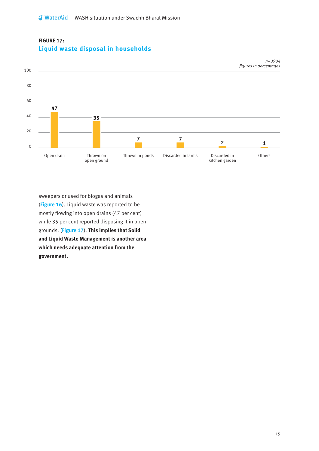

#### **FIGURE 17: Liquid waste disposal in households**

sweepers or used for biogas and animals (**Figure 16**). Liquid waste was reported to be mostly flowing into open drains (47 per cent) while 35 per cent reported disposing it in open grounds. (**Figure 17**). **This implies that Solid and Liquid Waste Management is another area which needs adequate attention from the government.**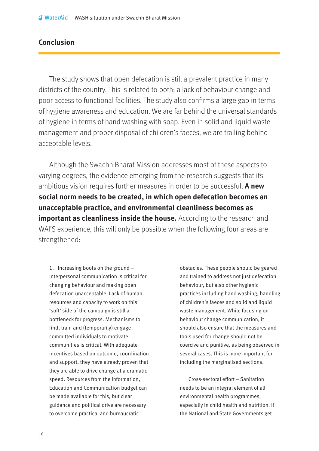#### **Conclusion**

The study shows that open defecation is still a prevalent practice in many districts of the country. This is related to both; a lack of behaviour change and poor access to functional facilities. The study also confirms a large gap in terms of hygiene awareness and education. We are far behind the universal standards of hygiene in terms of hand washing with soap. Even in solid and liquid waste management and proper disposal of children's faeces, we are trailing behind acceptable levels.

Although the Swachh Bharat Mission addresses most of these aspects to varying degrees, the evidence emerging from the research suggests that its ambitious vision requires further measures in order to be successful. **A new social norm needs to be created, in which open defecation becomes an unacceptable practice, and environmental cleanliness becomes as important as cleanliness inside the house.** According to the research and WAI'S experience, this will only be possible when the following four areas are strengthened:

1. Increasing boots on the ground – Interpersonal communication is critical for changing behaviour and making open defecation unacceptable. Lack of human resources and capacity to work on this 'soft' side of the campaign is still a bottleneck for progress. Mechanisms to find, train and (temporarily) engage committed individuals to motivate communities is critical. With adequate incentives based on outcome, coordination and support, they have already proven that they are able to drive change at a dramatic speed. Resources from the Information, Education and Communication budget can be made available for this, but clear guidance and political drive are necessary to overcome practical and bureaucratic

obstacles. These people should be geared and trained to address not just defecation behaviour, but also other hygienic practices including hand washing, handling of children's faeces and solid and liquid waste management. While focusing on behaviour change communication, it should also ensure that the measures and tools used for change should not be coercive and punitive, as being observed in several cases. This is more important for including the marginalised sections.

 Cross-sectoral effort – Sanitation needs to be an integral element of all environmental health programmes, especially in child health and nutrition. If the National and State Governments get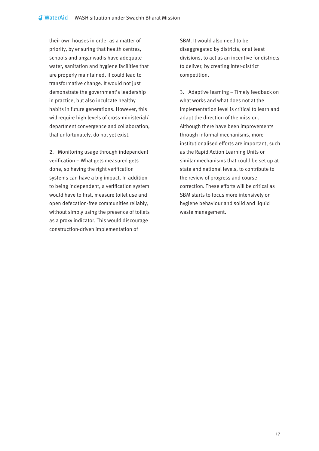their own houses in order as a matter of priority, by ensuring that health centres, schools and anganwadis have adequate water, sanitation and hygiene facilities that are properly maintained, it could lead to transformative change. It would not just demonstrate the government's leadership in practice, but also inculcate healthy habits in future generations. However, this will require high levels of cross-ministerial/ department convergence and collaboration, that unfortunately, do not yet exist.

2. Monitoring usage through independent verification – What gets measured gets done, so having the right verification systems can have a big impact. In addition to being independent, a verification system would have to first, measure toilet use and open defecation-free communities reliably, without simply using the presence of toilets as a proxy indicator. This would discourage construction-driven implementation of

SBM. It would also need to be disaggregated by districts, or at least divisions, to act as an incentive for districts to deliver, by creating inter-district competition.

3. Adaptive learning – Timely feedback on what works and what does not at the implementation level is critical to learn and adapt the direction of the mission. Although there have been improvements through informal mechanisms, more institutionalised efforts are important, such as the Rapid Action Learning Units or similar mechanisms that could be set up at state and national levels, to contribute to the review of progress and course correction. These efforts will be critical as SBM starts to focus more intensively on hygiene behaviour and solid and liquid waste management.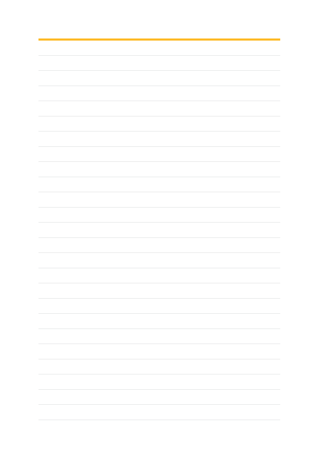